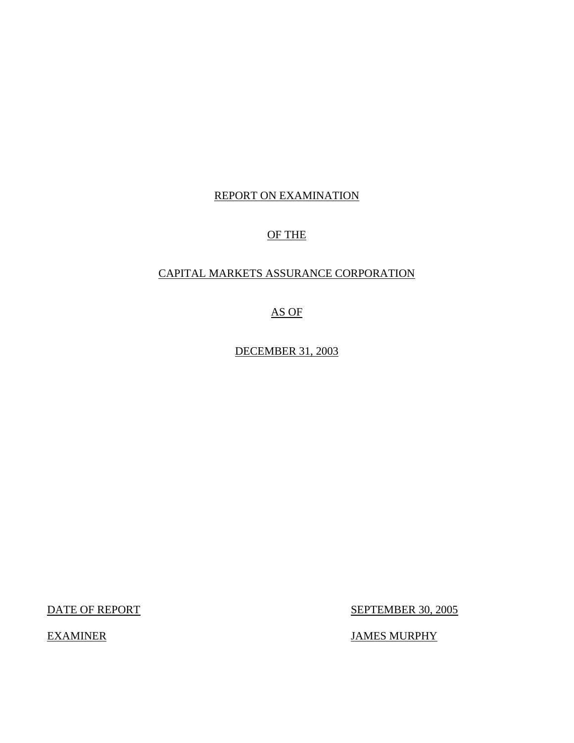## REPORT ON EXAMINATION

## OF THE

## CAPITAL MARKETS ASSURANCE CORPORATION

AS OF

DECEMBER 31, 2003

DATE OF REPORT SEPTEMBER 30, 2005

EXAMINER JAMES MURPHY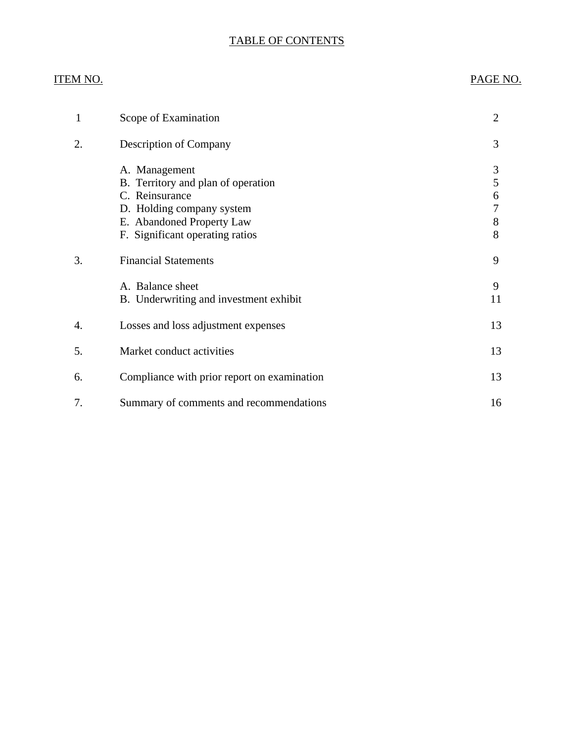## TABLE OF CONTENTS

## ITEM NO. PAGE NO.

| 1  | Scope of Examination                                                                                                                                               | $\overline{2}$             |
|----|--------------------------------------------------------------------------------------------------------------------------------------------------------------------|----------------------------|
| 2. | Description of Company                                                                                                                                             | 3                          |
|    | A. Management<br>B. Territory and plan of operation<br>C. Reinsurance<br>D. Holding company system<br>E. Abandoned Property Law<br>F. Significant operating ratios | 3<br>5<br>6<br>7<br>8<br>8 |
| 3. | <b>Financial Statements</b>                                                                                                                                        | 9                          |
|    | A. Balance sheet<br>B. Underwriting and investment exhibit                                                                                                         | 9<br>11                    |
| 4. | Losses and loss adjustment expenses                                                                                                                                | 13                         |
| 5. | Market conduct activities                                                                                                                                          | 13                         |
| 6. | Compliance with prior report on examination                                                                                                                        | 13                         |
| 7. | Summary of comments and recommendations                                                                                                                            | 16                         |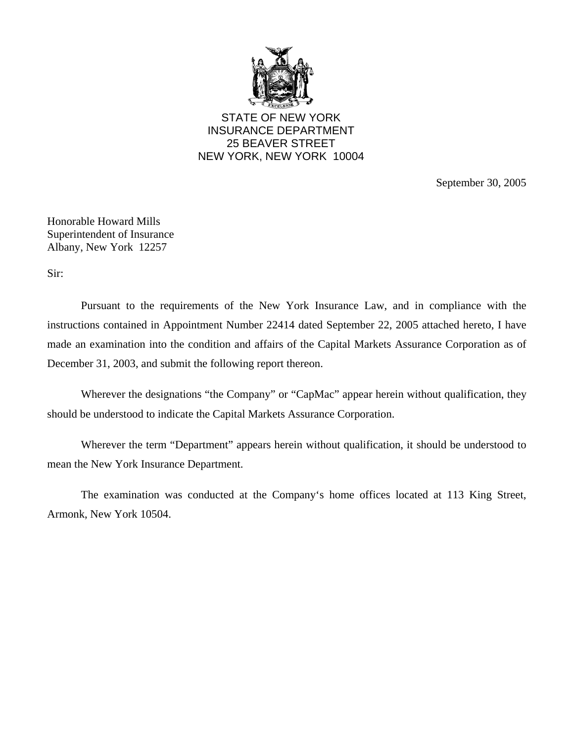

STATE OF NEW YORK INSURANCE DEPARTMENT 25 BEAVER STREET NEW YORK, NEW YORK 10004

September 30, 2005

Honorable Howard Mills Superintendent of Insurance Albany, New York 12257

Sir:

Pursuant to the requirements of the New York Insurance Law, and in compliance with the instructions contained in Appointment Number 22414 dated September 22, 2005 attached hereto, I have made an examination into the condition and affairs of the Capital Markets Assurance Corporation as of December 31, 2003, and submit the following report thereon.

Wherever the designations "the Company" or "CapMac" appear herein without qualification, they should be understood to indicate the Capital Markets Assurance Corporation.

Wherever the term "Department" appears herein without qualification, it should be understood to mean the New York Insurance Department.

The examination was conducted at the Company's home offices located at 113 King Street, Armonk, New York 10504.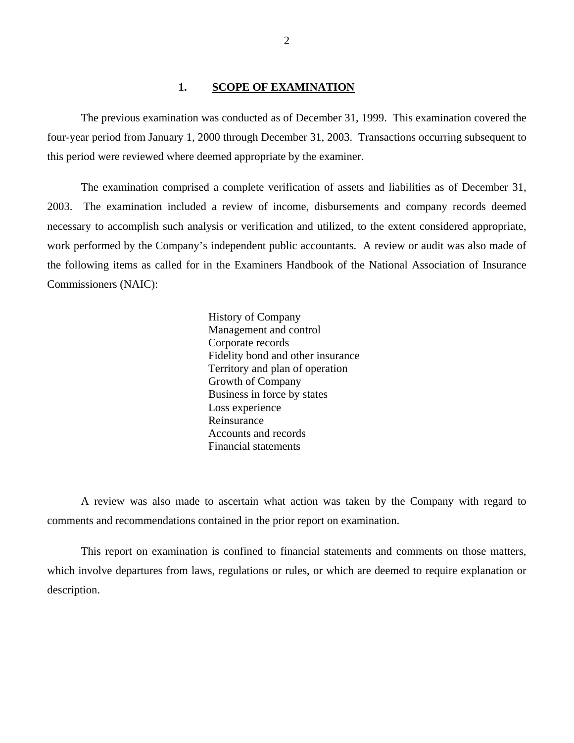### **1. SCOPE OF EXAMINATION**

<span id="page-3-0"></span>The previous examination was conducted as of December 31, 1999. This examination covered the four-year period from January 1, 2000 through December 31, 2003. Transactions occurring subsequent to this period were reviewed where deemed appropriate by the examiner.

The examination comprised a complete verification of assets and liabilities as of December 31, 2003. The examination included a review of income, disbursements and company records deemed necessary to accomplish such analysis or verification and utilized, to the extent considered appropriate, work performed by the Company's independent public accountants. A review or audit was also made of the following items as called for in the Examiners Handbook of the National Association of Insurance Commissioners (NAIC):

> History of Company Management and control Corporate records Fidelity bond and other insurance Territory and plan of operation Growth of Company Business in force by states Loss experience Reinsurance Accounts and records Financial statements

A review was also made to ascertain what action was taken by the Company with regard to comments and recommendations contained in the prior report on examination.

This report on examination is confined to financial statements and comments on those matters, which involve departures from laws, regulations or rules, or which are deemed to require explanation or description.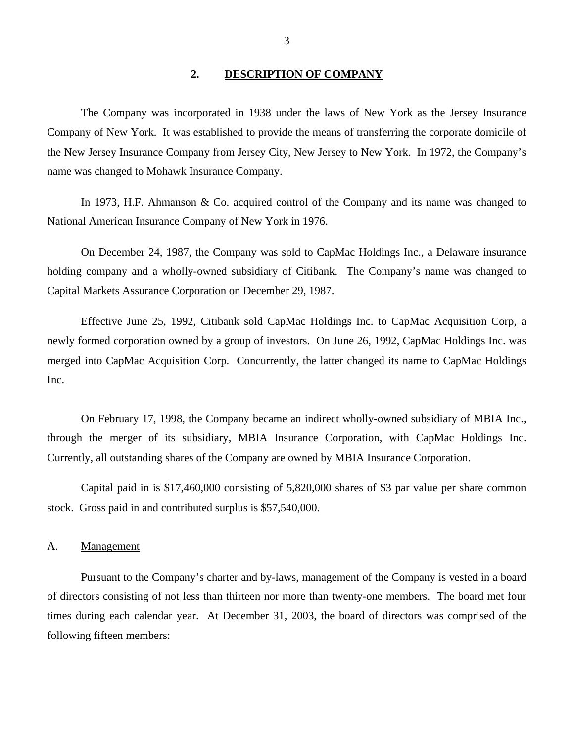#### **2. DESCRIPTION OF COMPANY**

<span id="page-4-0"></span>The Company was incorporated in 1938 under the laws of New York as the Jersey Insurance Company of New York. It was established to provide the means of transferring the corporate domicile of the New Jersey Insurance Company from Jersey City, New Jersey to New York. In 1972, the Company's name was changed to Mohawk Insurance Company.

In 1973, H.F. Ahmanson & Co. acquired control of the Company and its name was changed to National American Insurance Company of New York in 1976.

On December 24, 1987, the Company was sold to CapMac Holdings Inc., a Delaware insurance holding company and a wholly-owned subsidiary of Citibank. The Company's name was changed to Capital Markets Assurance Corporation on December 29, 1987.

Effective June 25, 1992, Citibank sold CapMac Holdings Inc. to CapMac Acquisition Corp, a newly formed corporation owned by a group of investors. On June 26, 1992, CapMac Holdings Inc. was merged into CapMac Acquisition Corp. Concurrently, the latter changed its name to CapMac Holdings Inc.

On February 17, 1998, the Company became an indirect wholly-owned subsidiary of MBIA Inc., through the merger of its subsidiary, MBIA Insurance Corporation, with CapMac Holdings Inc. Currently, all outstanding shares of the Company are owned by MBIA Insurance Corporation.

Capital paid in is \$17,460,000 consisting of 5,820,000 shares of \$3 par value per share common stock. Gross paid in and contributed surplus is \$57,540,000.

### A. Management

Pursuant to the Company's charter and by-laws, management of the Company is vested in a board of directors consisting of not less than thirteen nor more than twenty-one members. The board met four times during each calendar year. At December 31, 2003, the board of directors was comprised of the following fifteen members: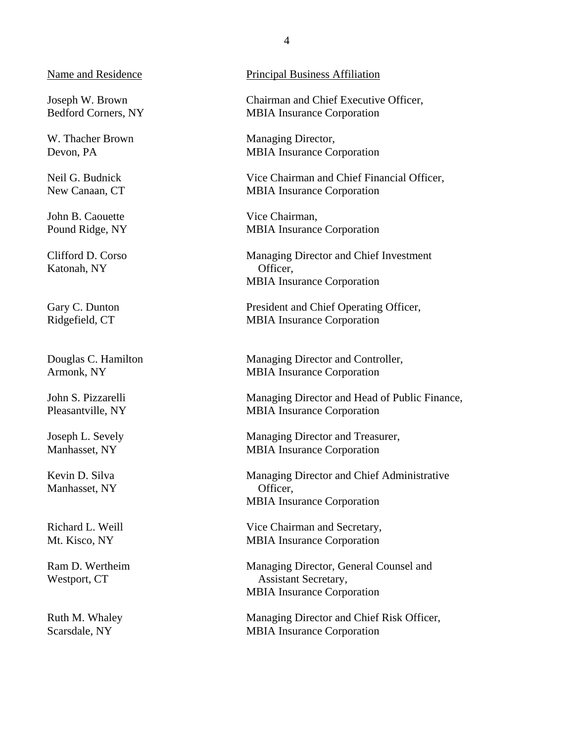John B. Caouette Vice Chairman,

Katonah, NY Officer,

Manhasset, NY Officer,

Name and Residence Principal Business Affiliation

Joseph W. Brown Chairman and Chief Executive Officer, Bedford Corners, NY MBIA Insurance Corporation

W. Thacher Brown Managing Director, Devon, PA MBIA Insurance Corporation

Neil G. Budnick Vice Chairman and Chief Financial Officer, New Canaan, CT MBIA Insurance Corporation

Pound Ridge, NY MBIA Insurance Corporation

Clifford D. Corso Managing Director and Chief Investment MBIA Insurance Corporation

Gary C. Dunton President and Chief Operating Officer, Ridgefield, CT MBIA Insurance Corporation

Douglas C. Hamilton Managing Director and Controller, Armonk, NY MBIA Insurance Corporation

John S. Pizzarelli Managing Director and Head of Public Finance, Pleasantville, NY MBIA Insurance Corporation

Joseph L. Sevely Managing Director and Treasurer, Manhasset, NY MBIA Insurance Corporation

Kevin D. Silva Managing Director and Chief Administrative MBIA Insurance Corporation

Richard L. Weill Vice Chairman and Secretary, Mt. Kisco, NY MBIA Insurance Corporation

Ram D. Wertheim Managing Director, General Counsel and Westport, CT Assistant Secretary, MBIA Insurance Corporation

Ruth M. Whaley Managing Director and Chief Risk Officer, Scarsdale, NY MBIA Insurance Corporation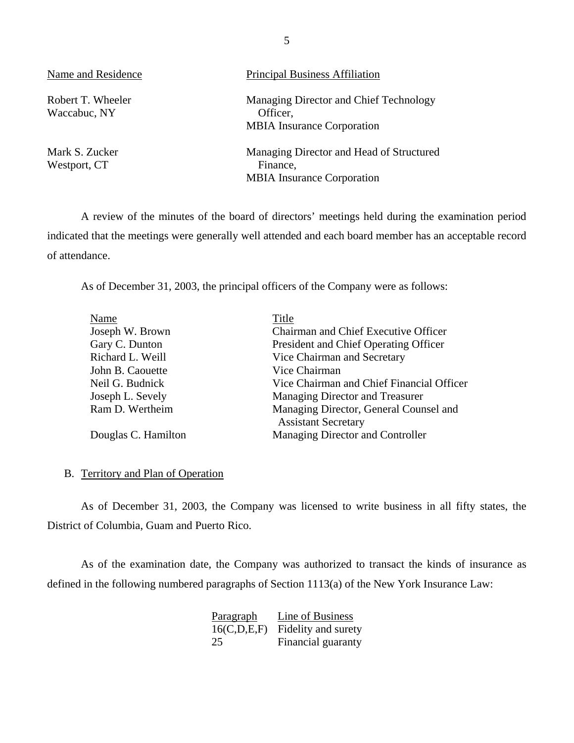<span id="page-6-0"></span>

| Name and Residence                | <b>Principal Business Affiliation</b>                                                     |
|-----------------------------------|-------------------------------------------------------------------------------------------|
| Robert T. Wheeler<br>Waccabuc, NY | Managing Director and Chief Technology<br>Officer,<br><b>MBIA</b> Insurance Corporation   |
| Mark S. Zucker<br>Westport, CT    | Managing Director and Head of Structured<br>Finance,<br><b>MBIA</b> Insurance Corporation |

A review of the minutes of the board of directors' meetings held during the examination period indicated that the meetings were generally well attended and each board member has an acceptable record of attendance.

As of December 31, 2003, the principal officers of the Company were as follows:

| Name                | Title                                     |
|---------------------|-------------------------------------------|
| Joseph W. Brown     | Chairman and Chief Executive Officer      |
| Gary C. Dunton      | President and Chief Operating Officer     |
| Richard L. Weill    | Vice Chairman and Secretary               |
| John B. Caouette    | Vice Chairman                             |
| Neil G. Budnick     | Vice Chairman and Chief Financial Officer |
| Joseph L. Sevely    | Managing Director and Treasurer           |
| Ram D. Wertheim     | Managing Director, General Counsel and    |
|                     | <b>Assistant Secretary</b>                |
| Douglas C. Hamilton | Managing Director and Controller          |

## B. Territory and Plan of Operation

As of December 31, 2003, the Company was licensed to write business in all fifty states, the District of Columbia, Guam and Puerto Rico.

As of the examination date, the Company was authorized to transact the kinds of insurance as defined in the following numbered paragraphs of Section 1113(a) of the New York Insurance Law:

| <u>Paragraph</u> | Line of Business    |
|------------------|---------------------|
| 16(C,D,E,F)      | Fidelity and surety |
| 25               | Financial guaranty  |

5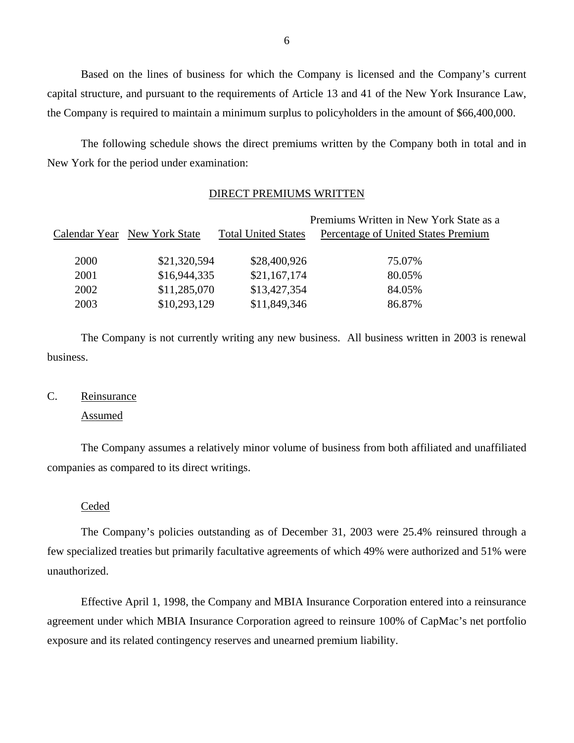Based on the lines of business for which the Company is licensed and the Company's current capital structure, and pursuant to the requirements of Article 13 and 41 of the New York Insurance Law, the Company is required to maintain a minimum surplus to policyholders in the amount of \$66,400,000.

The following schedule shows the direct premiums written by the Company both in total and in New York for the period under examination:

#### DIRECT PREMIUMS WRITTEN

|                              |                            | Premiums Written in New York State as a                                      |
|------------------------------|----------------------------|------------------------------------------------------------------------------|
| Calendar Year New York State | <b>Total United States</b> | Percentage of United States Premium                                          |
|                              |                            |                                                                              |
|                              |                            | 75.07%                                                                       |
|                              | \$21,167,174               | 80.05%                                                                       |
|                              | \$13,427,354               | 84.05%                                                                       |
|                              | \$11,849,346               | 86.87%                                                                       |
|                              |                            | \$21,320,594<br>\$28,400,926<br>\$16,944,335<br>\$11,285,070<br>\$10,293,129 |

The Company is not currently writing any new business. All business written in 2003 is renewal business.

### C. Reinsurance

#### Assumed

The Company assumes a relatively minor volume of business from both affiliated and unaffiliated companies as compared to its direct writings.

#### Ceded

The Company's policies outstanding as of December 31, 2003 were 25.4% reinsured through a few specialized treaties but primarily facultative agreements of which 49% were authorized and 51% were unauthorized.

Effective April 1, 1998, the Company and MBIA Insurance Corporation entered into a reinsurance agreement under which MBIA Insurance Corporation agreed to reinsure 100% of CapMac's net portfolio exposure and its related contingency reserves and unearned premium liability.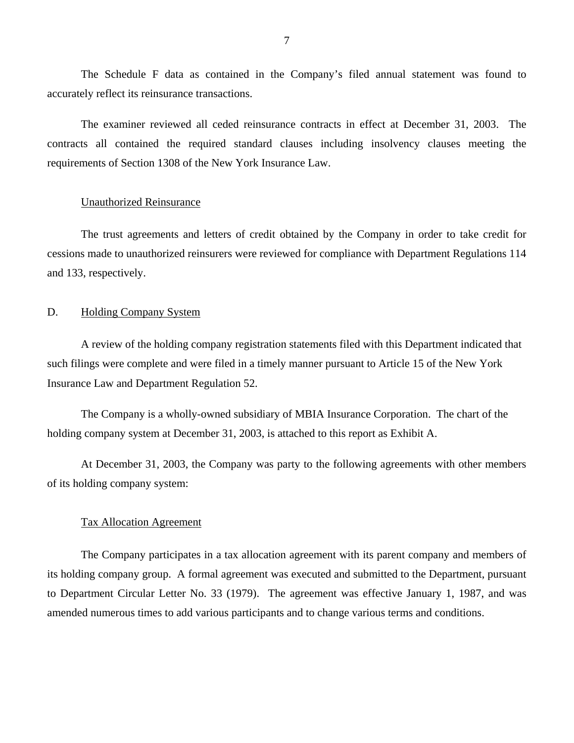<span id="page-8-0"></span>The Schedule F data as contained in the Company's filed annual statement was found to accurately reflect its reinsurance transactions.

The examiner reviewed all ceded reinsurance contracts in effect at December 31, 2003. The contracts all contained the required standard clauses including insolvency clauses meeting the requirements of Section 1308 of the New York Insurance Law.

## Unauthorized Reinsurance

The trust agreements and letters of credit obtained by the Company in order to take credit for cessions made to unauthorized reinsurers were reviewed for compliance with Department Regulations 114 and 133, respectively.

#### D. Holding Company System

A review of the holding company registration statements filed with this Department indicated that such filings were complete and were filed in a timely manner pursuant to Article 15 of the New York Insurance Law and Department Regulation 52.

The Company is a wholly-owned subsidiary of MBIA Insurance Corporation. The chart of the holding company system at December 31, 2003, is attached to this report as Exhibit A.

At December 31, 2003, the Company was party to the following agreements with other members of its holding company system:

### Tax Allocation Agreement

The Company participates in a tax allocation agreement with its parent company and members of its holding company group. A formal agreement was executed and submitted to the Department, pursuant to Department Circular Letter No. 33 (1979). The agreement was effective January 1, 1987, and was amended numerous times to add various participants and to change various terms and conditions.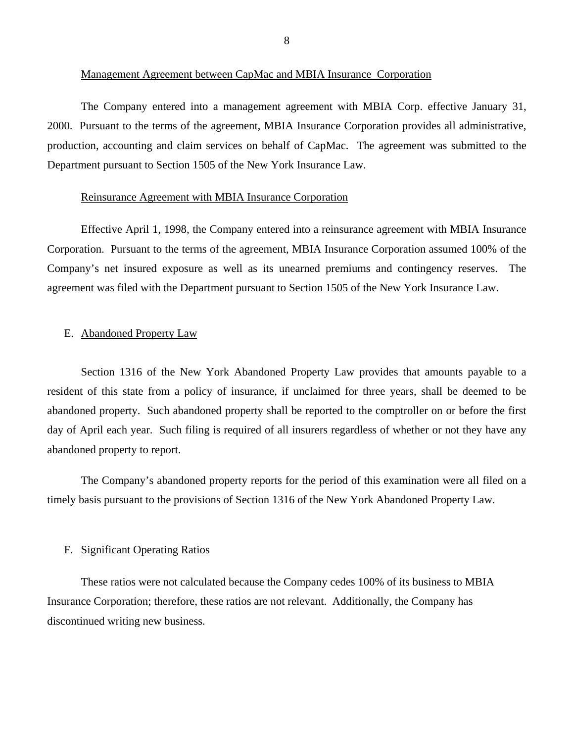<span id="page-9-0"></span>Management Agreement between CapMac and MBIA Insurance Corporation

The Company entered into a management agreement with MBIA Corp. effective January 31, 2000. Pursuant to the terms of the agreement, MBIA Insurance Corporation provides all administrative, production, accounting and claim services on behalf of CapMac. The agreement was submitted to the Department pursuant to Section 1505 of the New York Insurance Law.

#### Reinsurance Agreement with MBIA Insurance Corporation

Effective April 1, 1998, the Company entered into a reinsurance agreement with MBIA Insurance Corporation. Pursuant to the terms of the agreement, MBIA Insurance Corporation assumed 100% of the Company's net insured exposure as well as its unearned premiums and contingency reserves. The agreement was filed with the Department pursuant to Section 1505 of the New York Insurance Law.

#### E. Abandoned Property Law

Section 1316 of the New York Abandoned Property Law provides that amounts payable to a resident of this state from a policy of insurance, if unclaimed for three years, shall be deemed to be abandoned property. Such abandoned property shall be reported to the comptroller on or before the first day of April each year. Such filing is required of all insurers regardless of whether or not they have any abandoned property to report.

The Company's abandoned property reports for the period of this examination were all filed on a timely basis pursuant to the provisions of Section 1316 of the New York Abandoned Property Law.

#### F. Significant Operating Ratios

These ratios were not calculated because the Company cedes 100% of its business to MBIA Insurance Corporation; therefore, these ratios are not relevant. Additionally, the Company has discontinued writing new business.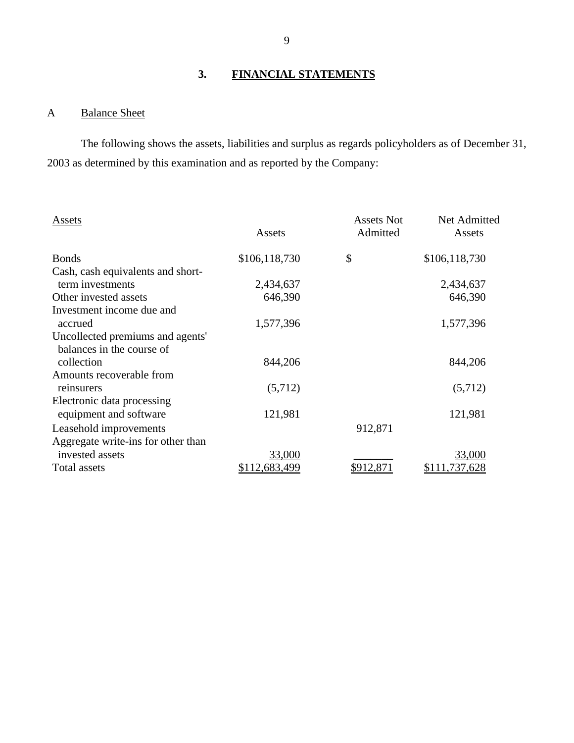# **3. FINANCIAL STATEMENTS**

## <span id="page-10-0"></span>A Balance Sheet

The following shows the assets, liabilities and surplus as regards policyholders as of December 31, 2003 as determined by this examination and as reported by the Company:

| <b>Assets</b>                      | <u>Assets</u> | <b>Assets Not</b><br>Admitted | Net Admitted<br><b>Assets</b> |
|------------------------------------|---------------|-------------------------------|-------------------------------|
|                                    |               |                               |                               |
| <b>B</b> onds                      | \$106,118,730 | \$                            | \$106,118,730                 |
| Cash, cash equivalents and short-  |               |                               |                               |
| term investments                   | 2,434,637     |                               | 2,434,637                     |
| Other invested assets              | 646,390       |                               | 646,390                       |
| Investment income due and          |               |                               |                               |
| accrued                            | 1,577,396     |                               | 1,577,396                     |
| Uncollected premiums and agents'   |               |                               |                               |
| balances in the course of          |               |                               |                               |
| collection                         | 844,206       |                               | 844,206                       |
| Amounts recoverable from           |               |                               |                               |
| reinsurers                         | (5,712)       |                               | (5,712)                       |
| Electronic data processing         |               |                               |                               |
| equipment and software             | 121,981       |                               | 121,981                       |
| Leasehold improvements             |               | 912,871                       |                               |
| Aggregate write-ins for other than |               |                               |                               |
| invested assets                    | 33,000        |                               | 33,000                        |
| Total assets                       | \$112,683,499 | \$912,871                     | \$111,737,628                 |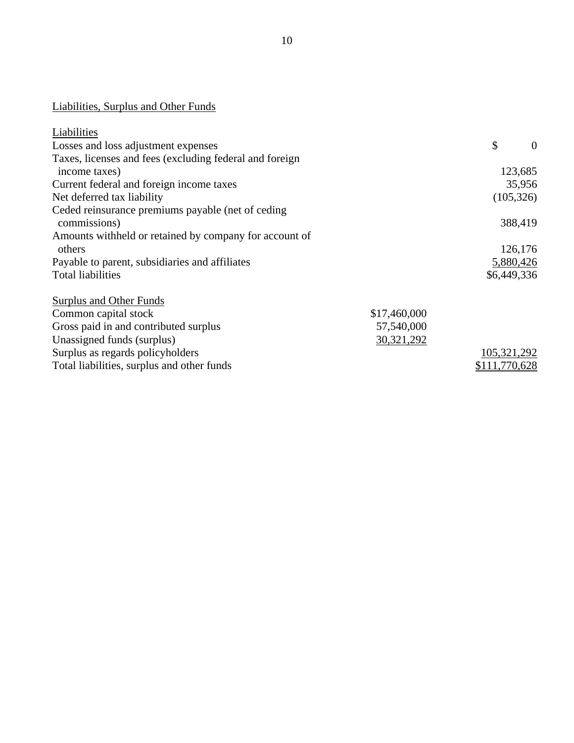# Liabilities, Surplus and Other Funds

| Liabilities                                             |              |               |                |
|---------------------------------------------------------|--------------|---------------|----------------|
| Losses and loss adjustment expenses                     |              | \$            | $\overline{0}$ |
| Taxes, licenses and fees (excluding federal and foreign |              |               |                |
| income taxes)                                           |              |               | 123,685        |
| Current federal and foreign income taxes                |              |               | 35,956         |
| Net deferred tax liability                              |              |               | (105, 326)     |
| Ceded reinsurance premiums payable (net of ceding       |              |               |                |
| commissions)                                            |              |               | 388,419        |
| Amounts with held or retained by company for account of |              |               |                |
| others                                                  |              |               | 126,176        |
| Payable to parent, subsidiaries and affiliates          |              |               | 5,880,426      |
| <b>Total liabilities</b>                                |              | \$6,449,336   |                |
| Surplus and Other Funds                                 |              |               |                |
| Common capital stock                                    | \$17,460,000 |               |                |
| Gross paid in and contributed surplus                   | 57,540,000   |               |                |
| Unassigned funds (surplus)                              | 30, 321, 292 |               |                |
| Surplus as regards policyholders                        |              | 105,321,292   |                |
| Total liabilities, surplus and other funds              |              | \$111,770,628 |                |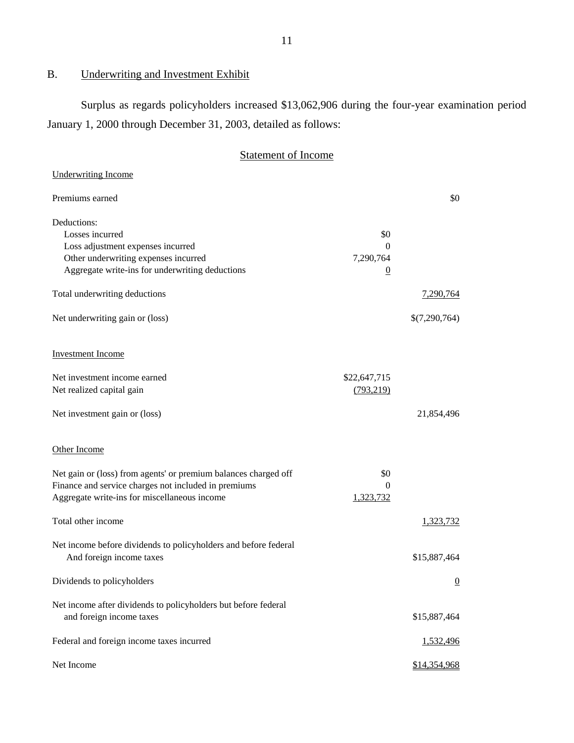# B. Underwriting and Investment Exhibit

Surplus as regards policyholders increased \$13,062,906 during the four-year examination period January 1, 2000 through December 31, 2003, detailed as follows:

## Statement of Income

| <b>Underwriting Income</b>                                                                                                                                              |                                                  |                  |
|-------------------------------------------------------------------------------------------------------------------------------------------------------------------------|--------------------------------------------------|------------------|
| Premiums earned                                                                                                                                                         |                                                  | \$0              |
| Deductions:<br>Losses incurred<br>Loss adjustment expenses incurred<br>Other underwriting expenses incurred<br>Aggregate write-ins for underwriting deductions          | \$0<br>$\Omega$<br>7,290,764<br>$\boldsymbol{0}$ |                  |
| Total underwriting deductions                                                                                                                                           |                                                  | 7,290,764        |
| Net underwriting gain or (loss)                                                                                                                                         |                                                  | \$(7,290,764)    |
| <b>Investment Income</b>                                                                                                                                                |                                                  |                  |
| Net investment income earned<br>Net realized capital gain                                                                                                               | \$22,647,715<br>(793, 219)                       |                  |
| Net investment gain or (loss)                                                                                                                                           |                                                  | 21,854,496       |
| Other Income                                                                                                                                                            |                                                  |                  |
| Net gain or (loss) from agents' or premium balances charged off<br>Finance and service charges not included in premiums<br>Aggregate write-ins for miscellaneous income | \$0<br>$\theta$<br>1,323,732                     |                  |
| Total other income                                                                                                                                                      |                                                  | <u>1,323,732</u> |
| Net income before dividends to policyholders and before federal<br>And foreign income taxes                                                                             |                                                  | \$15,887,464     |
| Dividends to policyholders                                                                                                                                              |                                                  | $\overline{0}$   |
| Net income after dividends to policyholders but before federal<br>and foreign income taxes                                                                              |                                                  | \$15,887,464     |
| Federal and foreign income taxes incurred                                                                                                                               |                                                  | 1,532,496        |
| Net Income                                                                                                                                                              |                                                  | \$14,354,968     |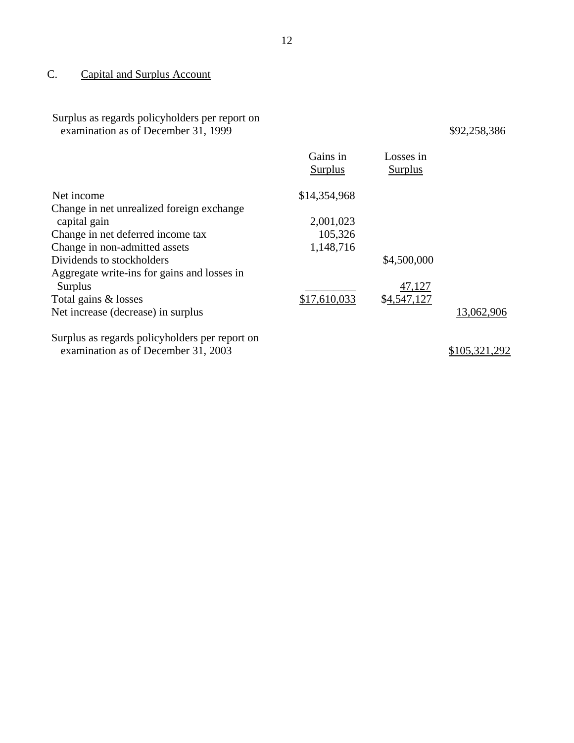C. Capital and Surplus Account

| Surplus as regards policyholders per report on |
|------------------------------------------------|
| examination as of December 31, 1999            |

## examination as of December 31, 1999 \$92,258,386

|                                                | Gains in<br>Surplus | Losses in<br><b>Surplus</b> |               |
|------------------------------------------------|---------------------|-----------------------------|---------------|
| Net income                                     | \$14,354,968        |                             |               |
| Change in net unrealized foreign exchange      |                     |                             |               |
| capital gain                                   | 2,001,023           |                             |               |
| Change in net deferred income tax              | 105,326             |                             |               |
| Change in non-admitted assets                  | 1,148,716           |                             |               |
| Dividends to stockholders                      |                     | \$4,500,000                 |               |
| Aggregate write-ins for gains and losses in    |                     |                             |               |
| Surplus                                        |                     | 47,127                      |               |
| Total gains & losses                           | \$17,610,033        | \$4,547,127                 |               |
| Net increase (decrease) in surplus             |                     |                             | 13,062,906    |
| Surplus as regards policyholders per report on |                     |                             |               |
| examination as of December 31, 2003            |                     |                             | \$105,321,292 |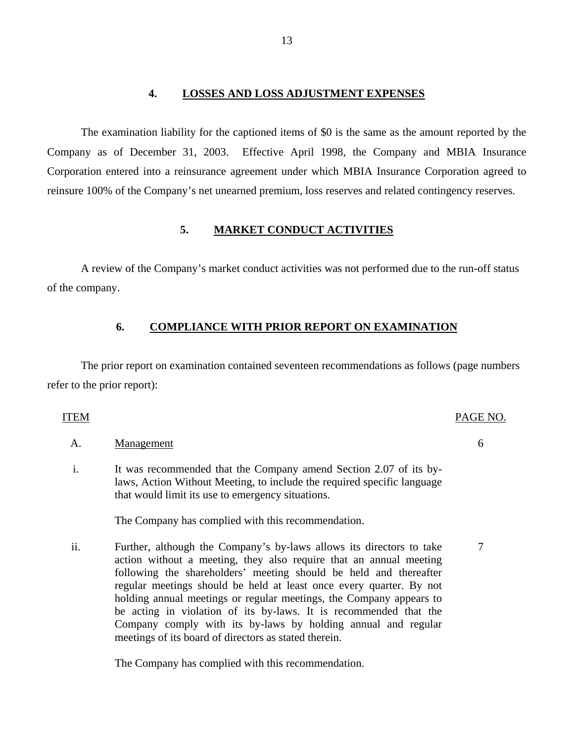## **4. LOSSES AND LOSS ADJUSTMENT EXPENSES**

The examination liability for the captioned items of \$0 is the same as the amount reported by the Company as of December 31, 2003. Effective April 1998, the Company and MBIA Insurance Corporation entered into a reinsurance agreement under which MBIA Insurance Corporation agreed to reinsure 100% of the Company's net unearned premium, loss reserves and related contingency reserves.

## **5. MARKET CONDUCT ACTIVITIES**

A review of the Company's market conduct activities was not performed due to the run-off status of the company.

## **6. COMPLIANCE WITH PRIOR REPORT ON EXAMINATION**

The prior report on examination contained seventeen recommendations as follows (page numbers refer to the prior report):

## ITEM PAGE NO.

7

- A. Management 6
- i. It was recommended that the Company amend Section 2.07 of its bylaws, Action Without Meeting, to include the required specific language that would limit its use to emergency situations.

The Company has complied with this recommendation.

ii. Further, although the Company's by-laws allows its directors to take action without a meeting, they also require that an annual meeting following the shareholders' meeting should be held and thereafter regular meetings should be held at least once every quarter. By not holding annual meetings or regular meetings, the Company appears to be acting in violation of its by-laws. It is recommended that the Company comply with its by-laws by holding annual and regular meetings of its board of directors as stated therein.

The Company has complied with this recommendation.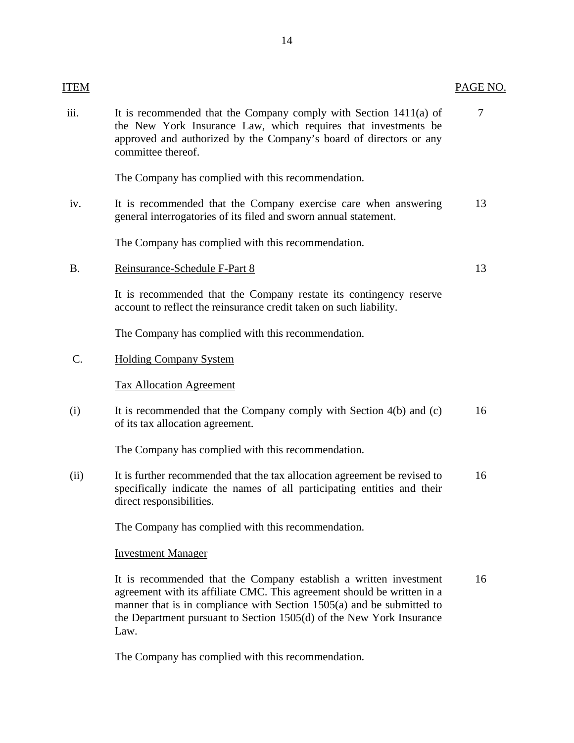| ITEM            |                                                                                                                                                                                                                                                                                                         | PAGE NO. |
|-----------------|---------------------------------------------------------------------------------------------------------------------------------------------------------------------------------------------------------------------------------------------------------------------------------------------------------|----------|
| iii.            | It is recommended that the Company comply with Section $1411(a)$ of<br>the New York Insurance Law, which requires that investments be<br>approved and authorized by the Company's board of directors or any<br>committee thereof.                                                                       | 7        |
|                 | The Company has complied with this recommendation.                                                                                                                                                                                                                                                      |          |
| iv.             | It is recommended that the Company exercise care when answering<br>general interrogatories of its filed and sworn annual statement.                                                                                                                                                                     | 13       |
|                 | The Company has complied with this recommendation.                                                                                                                                                                                                                                                      |          |
| <b>B.</b>       | Reinsurance-Schedule F-Part 8                                                                                                                                                                                                                                                                           | 13       |
|                 | It is recommended that the Company restate its contingency reserve<br>account to reflect the reinsurance credit taken on such liability.                                                                                                                                                                |          |
|                 | The Company has complied with this recommendation.                                                                                                                                                                                                                                                      |          |
| $\mathcal{C}$ . | <b>Holding Company System</b>                                                                                                                                                                                                                                                                           |          |
|                 | <b>Tax Allocation Agreement</b>                                                                                                                                                                                                                                                                         |          |
| (i)             | It is recommended that the Company comply with Section $4(b)$ and $(c)$<br>of its tax allocation agreement.                                                                                                                                                                                             | 16       |
|                 | The Company has complied with this recommendation.                                                                                                                                                                                                                                                      |          |
| (ii)            | It is further recommended that the tax allocation agreement be revised to<br>specifically indicate the names of all participating entities and their<br>direct responsibilities.                                                                                                                        | 16       |
|                 | The Company has complied with this recommendation.                                                                                                                                                                                                                                                      |          |
|                 | <b>Investment Manager</b>                                                                                                                                                                                                                                                                               |          |
|                 | It is recommended that the Company establish a written investment<br>agreement with its affiliate CMC. This agreement should be written in a<br>manner that is in compliance with Section $1505(a)$ and be submitted to<br>the Department pursuant to Section 1505(d) of the New York Insurance<br>Law. | 16       |

The Company has complied with this recommendation.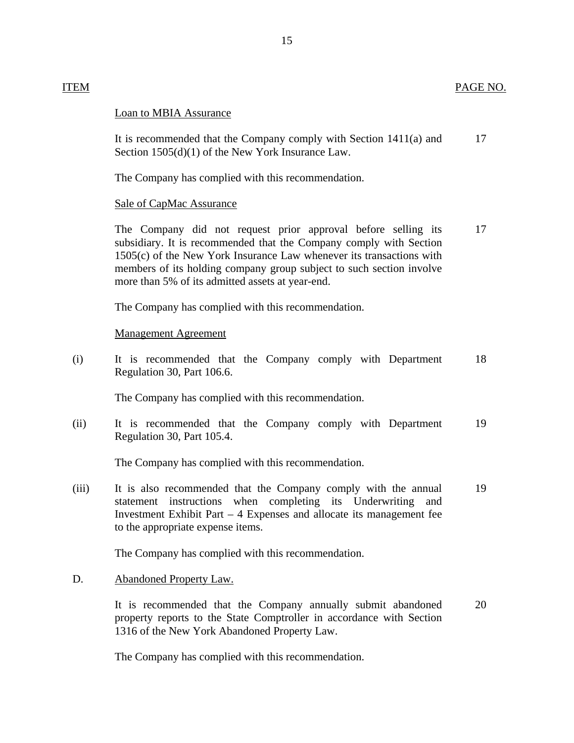## Loan to MBIA Assurance

It is recommended that the Company comply with Section 1411(a) and 17 Section 1505(d)(1) of the New York Insurance Law.

The Company has complied with this recommendation.

## Sale of CapMac Assurance

The Company did not request prior approval before selling its 17 subsidiary. It is recommended that the Company comply with Section 1505(c) of the New York Insurance Law whenever its transactions with members of its holding company group subject to such section involve more than 5% of its admitted assets at year-end.

The Company has complied with this recommendation.

## Management Agreement

(i) It is recommended that the Company comply with Department 18 Regulation 30, Part 106.6.

The Company has complied with this recommendation.

(ii) It is recommended that the Company comply with Department 19 Regulation 30, Part 105.4.

The Company has complied with this recommendation.

(iii) It is also recommended that the Company comply with the annual 19 statement instructions when completing its Underwriting and Investment Exhibit Part – 4 Expenses and allocate its management fee to the appropriate expense items.

The Company has complied with this recommendation.

## D. Abandoned Property Law.

It is recommended that the Company annually submit abandoned 20 property reports to the State Comptroller in accordance with Section 1316 of the New York Abandoned Property Law.

The Company has complied with this recommendation.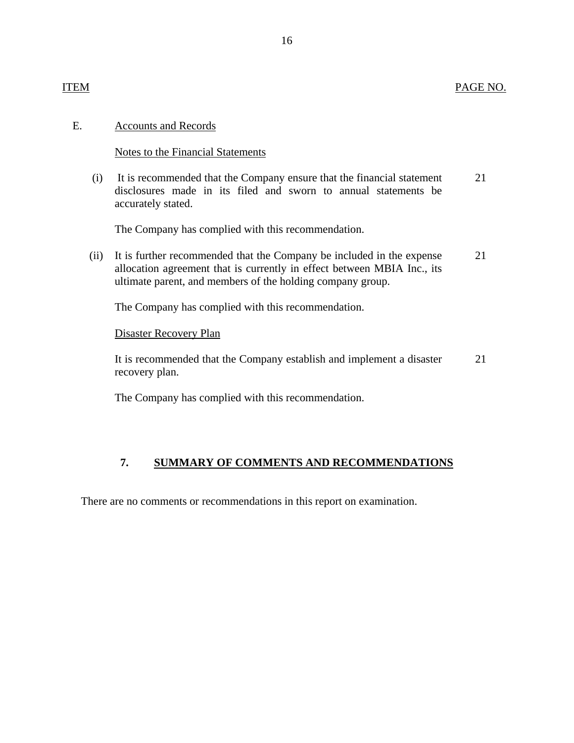## <span id="page-17-0"></span>E. Accounts and Records

## Notes to the Financial Statements

 (i) It is recommended that the Company ensure that the financial statement 21 disclosures made in its filed and sworn to annual statements be accurately stated.

The Company has complied with this recommendation.

(ii) It is further recommended that the Company be included in the expense 21 allocation agreement that is currently in effect between MBIA Inc., its ultimate parent, and members of the holding company group.

The Company has complied with this recommendation.

## Disaster Recovery Plan

It is recommended that the Company establish and implement a disaster 21 recovery plan.

The Company has complied with this recommendation.

## **7. SUMMARY OF COMMENTS AND RECOMMENDATIONS**

There are no comments or recommendations in this report on examination.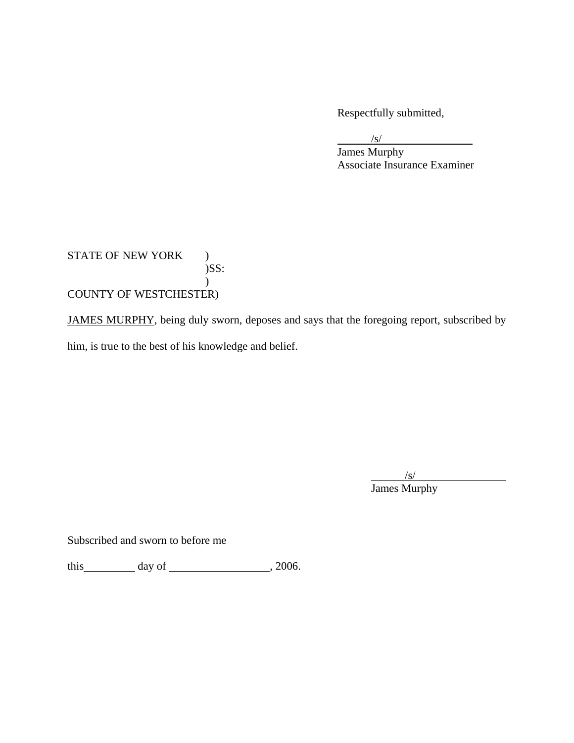Respectfully submitted,

 $\sqrt{s}$ /s/

 James Murphy Associate Insurance Examiner

STATE OF NEW YORK ) )SS:  $\mathcal{L}$ COUNTY OF WESTCHESTER)

JAMES MURPHY, being duly sworn, deposes and says that the foregoing report, subscribed by

him, is true to the best of his knowledge and belief.

 $\sqrt{s}$ James Murphy

Subscribed and sworn to before me

this  $\_\_\_\_\_$  day of  $\_\_\_\_\_\_$ , 2006.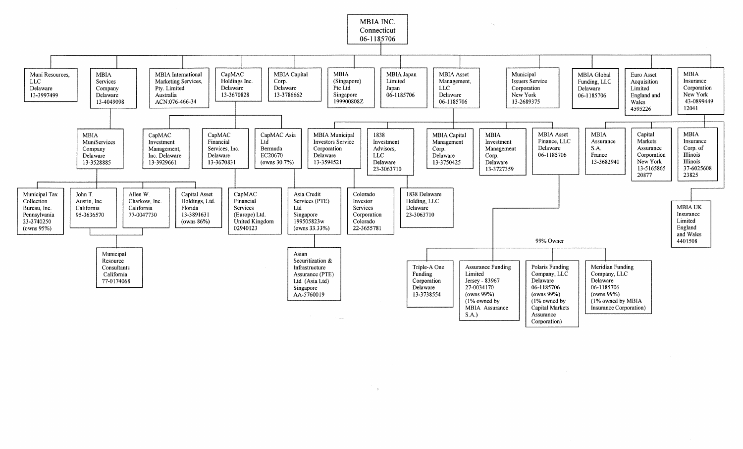

 $\Lambda$